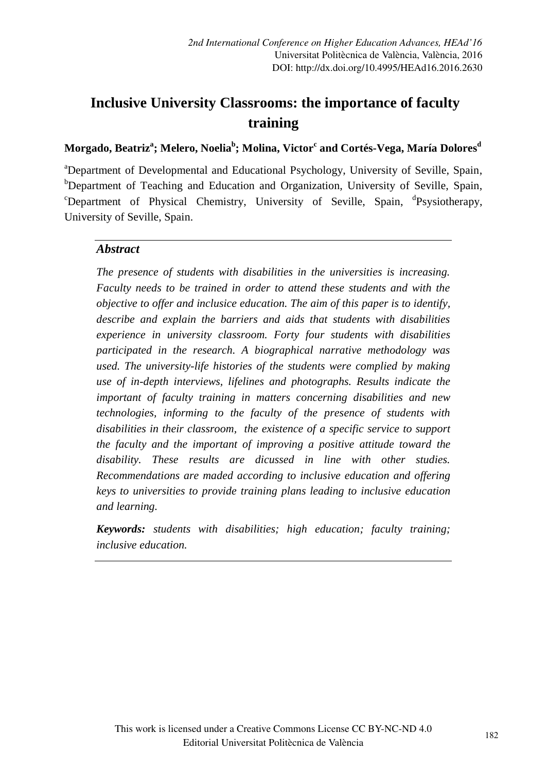# **Inclusive University Classrooms: the importance of faculty training**

#### **Morgado, Beatriz<sup>a</sup> ; Melero, Noelia<sup>b</sup> ; Molina, Victor<sup>c</sup> and Cortés-Vega, María Dolores<sup>d</sup>**

<sup>a</sup>Department of Developmental and Educational Psychology, University of Seville, Spain, <sup>b</sup>Department of Teaching and Education and Organization, University of Seville, Spain, <sup>c</sup>Department of Physical Chemistry, University of Seville, Spain, <sup>d</sup>Psysiotherapy, University of Seville, Spain.

#### *Abstract*

*The presence of students with disabilities in the universities is increasing. Faculty needs to be trained in order to attend these students and with the objective to offer and inclusice education. The aim of this paper is to identify, describe and explain the barriers and aids that students with disabilities experience in university classroom. Forty four students with disabilities participated in the research. A biographical narrative methodology was used. The university-life histories of the students were complied by making use of in-depth interviews, lifelines and photographs. Results indicate the important of faculty training in matters concerning disabilities and new technologies, informing to the faculty of the presence of students with disabilities in their classroom, the existence of a specific service to support the faculty and the important of improving a positive attitude toward the disability. These results are dicussed in line with other studies. Recommendations are maded according to inclusive education and offering keys to universities to provide training plans leading to inclusive education and learning.* 

*Keywords: students with disabilities; high education; faculty training; inclusive education.*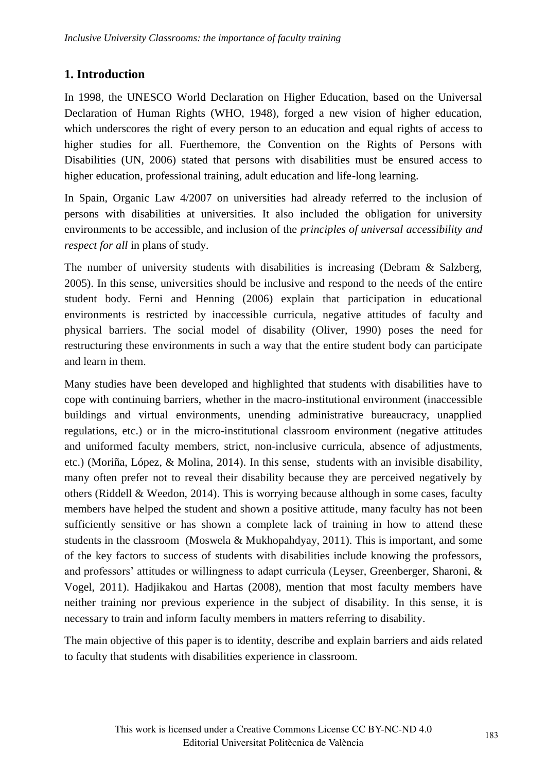## **1. Introduction**

In 1998, the UNESCO World Declaration on Higher Education, based on the Universal Declaration of Human Rights (WHO, 1948), forged a new vision of higher education, which underscores the right of every person to an education and equal rights of access to higher studies for all. Fuerthemore, the Convention on the Rights of Persons with Disabilities (UN, 2006) stated that persons with disabilities must be ensured access to higher education, professional training, adult education and life-long learning.

In Spain, Organic Law 4/2007 on universities had already referred to the inclusion of persons with disabilities at universities. It also included the obligation for university environments to be accessible, and inclusion of the *principles of universal accessibility and respect for all* in plans of study*.*

The number of university students with disabilities is increasing (Debram & Salzberg, 2005). In this sense, universities should be inclusive and respond to the needs of the entire student body. Ferni and Henning (2006) explain that participation in educational environments is restricted by inaccessible curricula, negative attitudes of faculty and physical barriers. The social model of disability (Oliver, 1990) poses the need for restructuring these environments in such a way that the entire student body can participate and learn in them.

Many studies have been developed and highlighted that students with disabilities have to cope with continuing barriers, whether in the macro-institutional environment (inaccessible buildings and virtual environments, unending administrative bureaucracy, unapplied regulations, etc.) or in the micro-institutional classroom environment (negative attitudes and uniformed faculty members, strict, non-inclusive curricula, absence of adjustments, etc.) (Moriña, López, & Molina, 2014). In this sense, students with an invisible disability, many often prefer not to reveal their disability because they are perceived negatively by others (Riddell & Weedon, 2014). This is worrying because although in some cases, faculty members have helped the student and shown a positive attitude, many faculty has not been sufficiently sensitive or has shown a complete lack of training in how to attend these students in the classroom (Moswela & Mukhopahdyay, 2011). This is important, and some of the key factors to success of students with disabilities include knowing the professors, and professors' attitudes or willingness to adapt curricula (Leyser, Greenberger, Sharoni, & Vogel, 2011). Hadjikakou and Hartas (2008), mention that most faculty members have neither training nor previous experience in the subject of disability. In this sense, it is necessary to train and inform faculty members in matters referring to disability.

The main objective of this paper is to identity, describe and explain barriers and aids related to faculty that students with disabilities experience in classroom.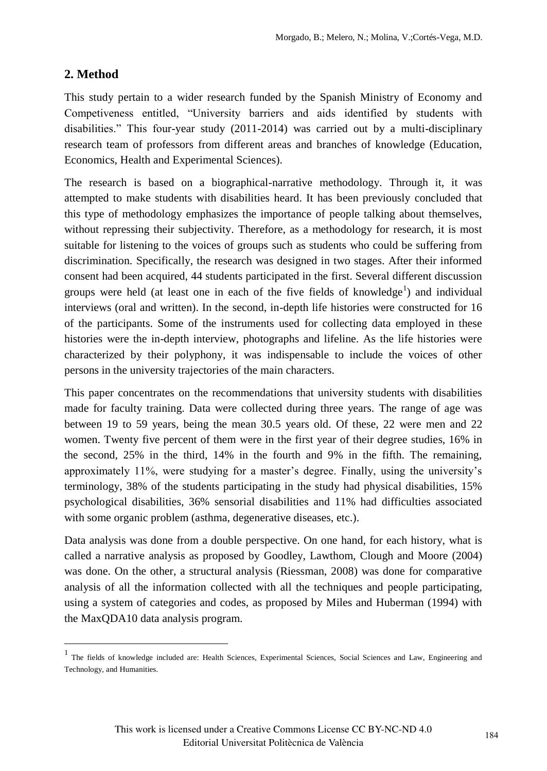## **2. Method**

 $\overline{\phantom{a}}$ 

This study pertain to a wider research funded by the Spanish Ministry of Economy and Competiveness entitled, "University barriers and aids identified by students with disabilities." This four-year study (2011-2014) was carried out by a multi-disciplinary research team of professors from different areas and branches of knowledge (Education, Economics, Health and Experimental Sciences).

The research is based on a biographical-narrative methodology. Through it, it was attempted to make students with disabilities heard. It has been previously concluded that this type of methodology emphasizes the importance of people talking about themselves, without repressing their subjectivity. Therefore, as a methodology for research, it is most suitable for listening to the voices of groups such as students who could be suffering from discrimination. Specifically, the research was designed in two stages. After their informed consent had been acquired, 44 students participated in the first. Several different discussion groups were held (at least one in each of the five fields of knowledge<sup>1</sup>) and individual interviews (oral and written). In the second, in-depth life histories were constructed for 16 of the participants. Some of the instruments used for collecting data employed in these histories were the in-depth interview, photographs and lifeline. As the life histories were characterized by their polyphony, it was indispensable to include the voices of other persons in the university trajectories of the main characters.

This paper concentrates on the recommendations that university students with disabilities made for faculty training. Data were collected during three years. The range of age was between 19 to 59 years, being the mean 30.5 years old. Of these, 22 were men and 22 women. Twenty five percent of them were in the first year of their degree studies, 16% in the second, 25% in the third, 14% in the fourth and 9% in the fifth. The remaining, approximately 11%, were studying for a master's degree. Finally, using the university's terminology, 38% of the students participating in the study had physical disabilities, 15% psychological disabilities, 36% sensorial disabilities and 11% had difficulties associated with some organic problem (asthma, degenerative diseases, etc.).

Data analysis was done from a double perspective. On one hand, for each history, what is called a narrative analysis as proposed by Goodley, Lawthom, Clough and Moore (2004) was done. On the other, a structural analysis (Riessman, 2008) was done for comparative analysis of all the information collected with all the techniques and people participating, using a system of categories and codes, as proposed by Miles and Huberman (1994) with the MaxQDA10 data analysis program.

<sup>&</sup>lt;sup>1</sup> The fields of knowledge included are: Health Sciences, Experimental Sciences, Social Sciences and Law, Engineering and Technology, and Humanities.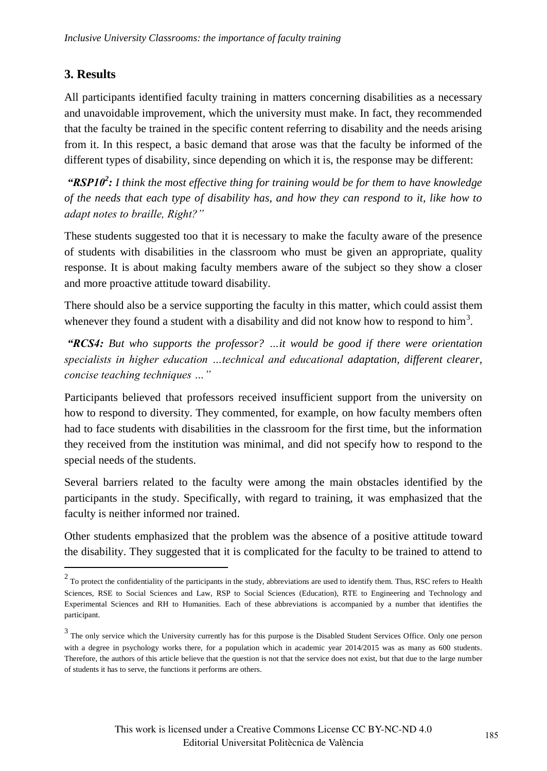## **3. Results**

 $\overline{a}$ 

All participants identified faculty training in matters concerning disabilities as a necessary and unavoidable improvement, which the university must make. In fact, they recommended that the faculty be trained in the specific content referring to disability and the needs arising from it. In this respect, a basic demand that arose was that the faculty be informed of the different types of disability, since depending on which it is, the response may be different:

*"RSP10<sup>2</sup> : I think the most effective thing for training would be for them to have knowledge of the needs that each type of disability has, and how they can respond to it, like how to adapt notes to braille, Right?"*

These students suggested too that it is necessary to make the faculty aware of the presence of students with disabilities in the classroom who must be given an appropriate, quality response. It is about making faculty members aware of the subject so they show a closer and more proactive attitude toward disability.

There should also be a service supporting the faculty in this matter, which could assist them whenever they found a student with a disability and did not know how to respond to  $\text{him}^3$ .

*"RCS4: But who supports the professor? …it would be good if there were orientation specialists in higher education …technical and educational adaptation, different clearer, concise teaching techniques …"*

Participants believed that professors received insufficient support from the university on how to respond to diversity. They commented, for example, on how faculty members often had to face students with disabilities in the classroom for the first time, but the information they received from the institution was minimal, and did not specify how to respond to the special needs of the students.

Several barriers related to the faculty were among the main obstacles identified by the participants in the study. Specifically, with regard to training, it was emphasized that the faculty is neither informed nor trained.

Other students emphasized that the problem was the absence of a positive attitude toward the disability. They suggested that it is complicated for the faculty to be trained to attend to

 $2 \text{ T}$  o protect the confidentiality of the participants in the study, abbreviations are used to identify them. Thus, RSC refers to Health Sciences, RSE to Social Sciences and Law, RSP to Social Sciences (Education), RTE to Engineering and Technology and Experimental Sciences and RH to Humanities. Each of these abbreviations is accompanied by a number that identifies the participant.

 $3$  The only service which the University currently has for this purpose is the Disabled Student Services Office. Only one person with a degree in psychology works there, for a population which in academic year 2014/2015 was as many as 600 students. Therefore, the authors of this article believe that the question is not that the service does not exist, but that due to the large number of students it has to serve, the functions it performs are others.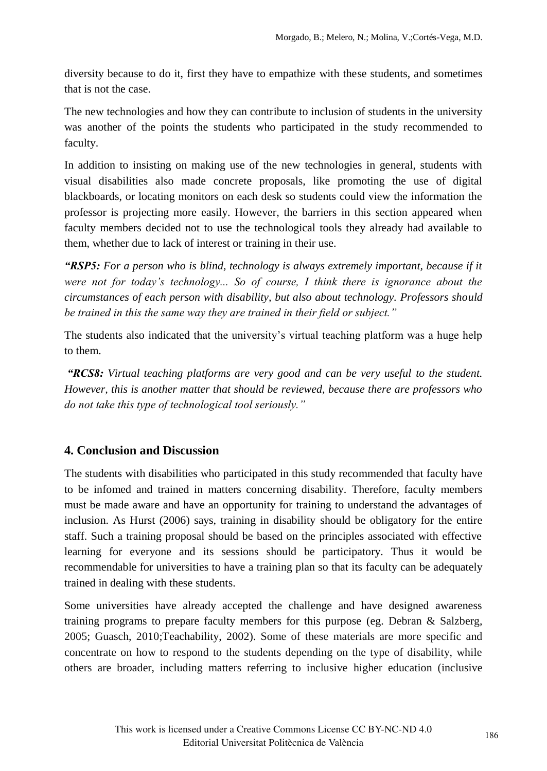diversity because to do it, first they have to empathize with these students, and sometimes that is not the case.

The new technologies and how they can contribute to inclusion of students in the university was another of the points the students who participated in the study recommended to faculty.

In addition to insisting on making use of the new technologies in general, students with visual disabilities also made concrete proposals, like promoting the use of digital blackboards, or locating monitors on each desk so students could view the information the professor is projecting more easily. However, the barriers in this section appeared when faculty members decided not to use the technological tools they already had available to them, whether due to lack of interest or training in their use.

*"RSP5: For a person who is blind, technology is always extremely important, because if it were not for today's technology... So of course, I think there is ignorance about the circumstances of each person with disability, but also about technology. Professors should be trained in this the same way they are trained in their field or subject."* 

The students also indicated that the university's virtual teaching platform was a huge help to them.

*"RCS8: Virtual teaching platforms are very good and can be very useful to the student. However, this is another matter that should be reviewed, because there are professors who do not take this type of technological tool seriously."* 

## **4. Conclusion and Discussion**

The students with disabilities who participated in this study recommended that faculty have to be infomed and trained in matters concerning disability. Therefore, faculty members must be made aware and have an opportunity for training to understand the advantages of inclusion. As Hurst (2006) says, training in disability should be obligatory for the entire staff. Such a training proposal should be based on the principles associated with effective learning for everyone and its sessions should be participatory. Thus it would be recommendable for universities to have a training plan so that its faculty can be adequately trained in dealing with these students.

Some universities have already accepted the challenge and have designed awareness training programs to prepare faculty members for this purpose (eg. Debran & Salzberg, 2005; Guasch, 2010;Teachability, 2002). Some of these materials are more specific and concentrate on how to respond to the students depending on the type of disability, while others are broader, including matters referring to inclusive higher education (inclusive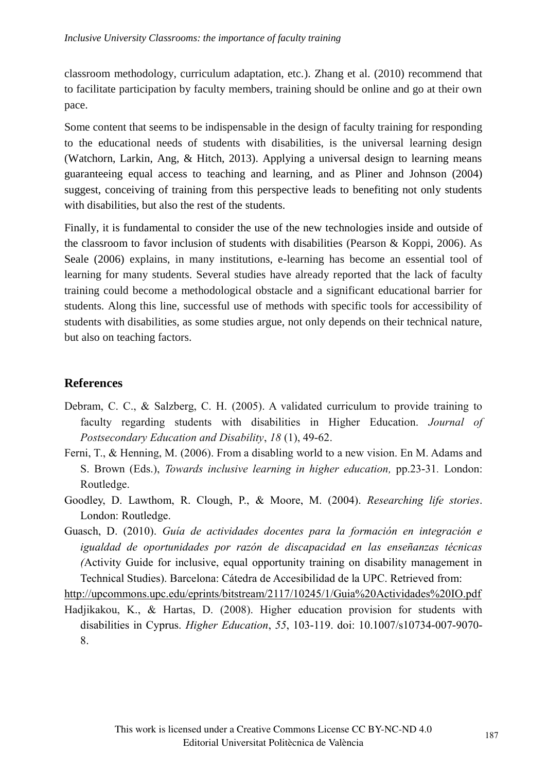classroom methodology, curriculum adaptation, etc.). Zhang et al. (2010) recommend that to facilitate participation by faculty members, training should be online and go at their own pace.

Some content that seems to be indispensable in the design of faculty training for responding to the educational needs of students with disabilities, is the universal learning design (Watchorn, Larkin, Ang, & Hitch, 2013). Applying a universal design to learning means guaranteeing equal access to teaching and learning, and as Pliner and Johnson (2004) suggest, conceiving of training from this perspective leads to benefiting not only students with disabilities, but also the rest of the students.

Finally, it is fundamental to consider the use of the new technologies inside and outside of the classroom to favor inclusion of students with disabilities (Pearson & Koppi, 2006). As Seale (2006) explains, in many institutions, e-learning has become an essential tool of learning for many students. Several studies have already reported that the lack of faculty training could become a methodological obstacle and a significant educational barrier for students. Along this line, successful use of methods with specific tools for accessibility of students with disabilities, as some studies argue, not only depends on their technical nature, but also on teaching factors.

#### **References**

- Debram, C. C., & Salzberg, C. H. (2005). A validated curriculum to provide training to faculty regarding students with disabilities in Higher Education. *Journal of Postsecondary Education and Disability*, *18* (1), 49-62.
- Ferni, T., & Henning, M. (2006). From a disabling world to a new vision. En M. Adams and S. Brown (Eds.), *Towards inclusive learning in higher education,* pp.23-31*.* London: Routledge.
- Goodley, D. Lawthom, R. Clough, P., & Moore, M. (2004). *Researching life stories*. London: Routledge.
- Guasch, D. (2010). *Guía de actividades docentes para la formación en integración e igualdad de oportunidades por razón de discapacidad en las enseñanzas técnicas (*Activity Guide for inclusive, equal opportunity training on disability management in Technical Studies). Barcelona: Cátedra de Accesibilidad de la UPC. Retrieved from:

http://upcommons.upc.edu/eprints/bitstream/2117/10245/1/Guia%20Actividades%20IO.pdf

Hadjikakou, K., & Hartas, D. (2008). Higher education provision for students with disabilities in Cyprus. *Higher Education*, *55*, 103-119. doi: 10.1007/s10734-007-9070- 8.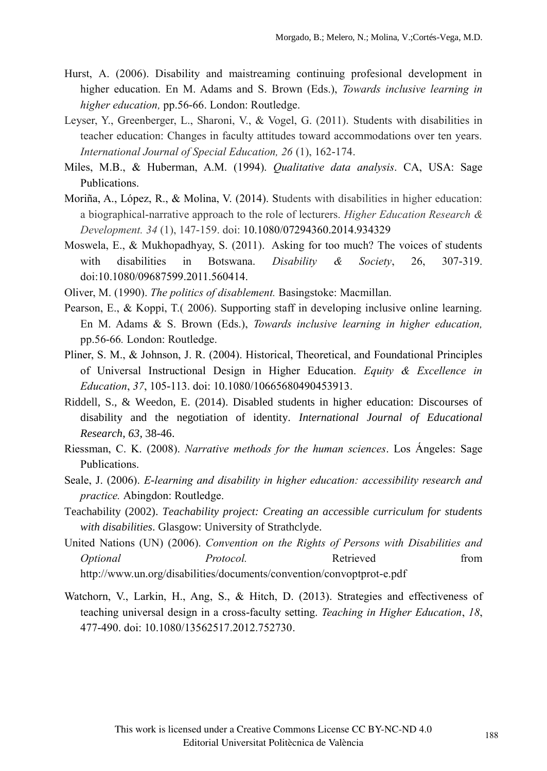- Hurst, A. (2006). Disability and maistreaming continuing profesional development in higher education. En M. Adams and S. Brown (Eds.), *Towards inclusive learning in higher education,* pp.56-66. London: Routledge.
- Leyser, Y., Greenberger, L., Sharoni, V., & Vogel, G. (2011). Students with disabilities in teacher education: Changes in faculty attitudes toward accommodations over ten years. *International Journal of Special Education, 26* (1), 162-174.
- Miles, M.B., & Huberman, A.M. (1994). *Qualitative data analysis*. CA, USA: Sage Publications.
- Moriña, A., López, R., & Molina, V. (2014). Students with disabilities in higher education: a biographical-narrative approach to the role of lecturers. *Higher Education Research & Development. 34* (1), 147-159. doi: 10.1080/07294360.2014.934329
- Moswela, E., & Mukhopadhyay, S. (2011). Asking for too much? The voices of students with disabilities in Botswana. *Disability & Society*, 26, 307-319. doi:10.1080/09687599.2011.560414.
- Oliver, M. (1990). *The politics of disablement.* Basingstoke: Macmillan.
- Pearson, E., & Koppi, T.( 2006). Supporting staff in developing inclusive online learning. En M. Adams & S. Brown (Eds.), *Towards inclusive learning in higher education,*  pp.56-66*.* London: Routledge.
- Pliner, S. M., & Johnson, J. R. (2004). Historical, Theoretical, and Foundational Principles of Universal Instructional Design in Higher Education. *Equity & Excellence in Education*, *37*, 105-113. doi: 10.1080/10665680490453913.
- Riddell, S., & Weedon, E. (2014). Disabled students in higher education: Discourses of disability and the negotiation of identity. *International Journal of Educational Research*, *63*, 38-46.
- Riessman, C. K. (2008). *Narrative methods for the human sciences*. Los Ángeles: Sage Publications.
- Seale, J. (2006). *E-learning and disability in higher education: accessibility research and practice.* Abingdon: Routledge.
- Teachability (2002). *Teachability project: Creating an accessible curriculum for students with disabilities*. Glasgow: University of Strathclyde.
- United Nations (UN) (2006). *Convention on the Rights of Persons with Disabilities and Optional Protocol.* Retrieved from http://www.un.org/disabilities/documents/convention/convoptprot-e.pdf
- Watchorn, V., Larkin, H., Ang, S., & Hitch, D. (2013). Strategies and effectiveness of teaching universal design in a cross-faculty setting. *Teaching in Higher Education*, *18*, 477-490. doi: 10.1080/13562517.2012.752730.